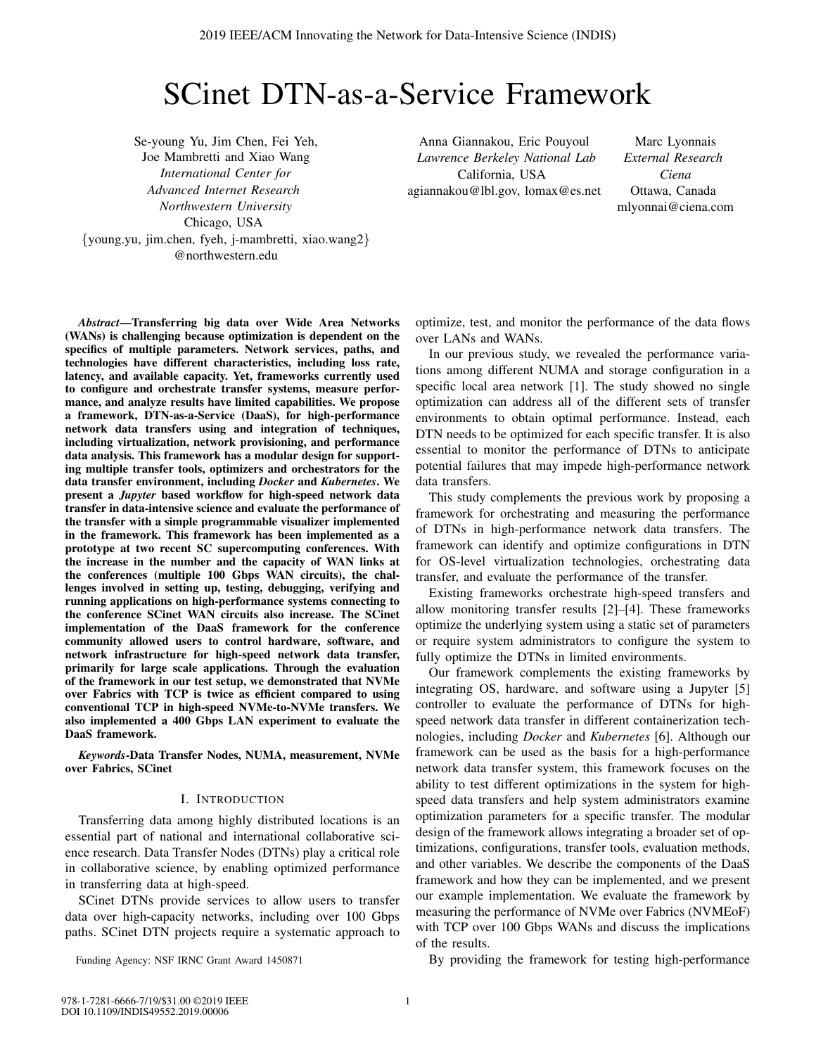# SCinet DTN-as-a-Service Framework

Se-young Yu, Jim Chen, Fei Yeh, Joe Mambretti and Xiao Wang *International Center for Advanced Internet Research Northwestern University* Chicago, USA {young.yu, jim.chen, fyeh, j-mambretti, xiao.wang2} @northwestern.edu

Anna Giannakou, Eric Pouyoul *Lawrence Berkeley National Lab* California, USA agiannakou@lbl.gov, lomax@es.net

Marc Lyonnais *External Research Ciena* Ottawa, Canada mlyonnai@ciena.com

*Abstract*—Transferring big data over Wide Area Networks (WANs) is challenging because optimization is dependent on the specifics of multiple parameters. Network services, paths, and technologies have different characteristics, including loss rate, latency, and available capacity. Yet, frameworks currently used to configure and orchestrate transfer systems, measure performance, and analyze results have limited capabilities. We propose a framework, DTN-as-a-Service (DaaS), for high-performance network data transfers using and integration of techniques, including virtualization, network provisioning, and performance data analysis. This framework has a modular design for supporting multiple transfer tools, optimizers and orchestrators for the data transfer environment, including *Docker* and *Kubernetes*. We present a *Jupyter* based workflow for high-speed network data transfer in data-intensive science and evaluate the performance of the transfer with a simple programmable visualizer implemented in the framework. This framework has been implemented as a prototype at two recent SC supercomputing conferences. With the increase in the number and the capacity of WAN links at the conferences (multiple 100 Gbps WAN circuits), the challenges involved in setting up, testing, debugging, verifying and running applications on high-performance systems connecting to the conference SCinet WAN circuits also increase. The SCinet implementation of the DaaS framework for the conference community allowed users to control hardware, software, and network infrastructure for high-speed network data transfer, primarily for large scale applications. Through the evaluation of the framework in our test setup, we demonstrated that NVMe over Fabrics with TCP is twice as efficient compared to using conventional TCP in high-speed NVMe-to-NVMe transfers. We also implemented a 400 Gbps LAN experiment to evaluate the DaaS framework.

*Keywords*-Data Transfer Nodes, NUMA, measurement, NVMe over Fabrics, SCinet

## I. INTRODUCTION

Transferring data among highly distributed locations is an essential part of national and international collaborative science research. Data Transfer Nodes (DTNs) play a critical role in collaborative science, by enabling optimized performance in transferring data at high-speed.

SCinet DTNs provide services to allow users to transfer data over high-capacity networks, including over 100 Gbps paths. SCinet DTN projects require a systematic approach to

Funding Agency: NSF IRNC Grant Award 1450871

optimize, test, and monitor the performance of the data flows over LANs and WANs.

In our previous study, we revealed the performance variations among different NUMA and storage configuration in a specific local area network [1]. The study showed no single optimization can address all of the different sets of transfer environments to obtain optimal performance. Instead, each DTN needs to be optimized for each specific transfer. It is also essential to monitor the performance of DTNs to anticipate potential failures that may impede high-performance network data transfers.

This study complements the previous work by proposing a framework for orchestrating and measuring the performance of DTNs in high-performance network data transfers. The framework can identify and optimize configurations in DTN for OS-level virtualization technologies, orchestrating data transfer, and evaluate the performance of the transfer.

Existing frameworks orchestrate high-speed transfers and allow monitoring transfer results [2]–[4]. These frameworks optimize the underlying system using a static set of parameters or require system administrators to configure the system to fully optimize the DTNs in limited environments.

Our framework complements the existing frameworks by integrating OS, hardware, and software using a Jupyter [5] controller to evaluate the performance of DTNs for highspeed network data transfer in different containerization technologies, including *Docker* and *Kubernetes* [6]. Although our framework can be used as the basis for a high-performance network data transfer system, this framework focuses on the ability to test different optimizations in the system for highspeed data transfers and help system administrators examine optimization parameters for a specific transfer. The modular design of the framework allows integrating a broader set of optimizations, configurations, transfer tools, evaluation methods, and other variables. We describe the components of the DaaS framework and how they can be implemented, and we present our example implementation. We evaluate the framework by measuring the performance of NVMe over Fabrics (NVMEoF) with TCP over 100 Gbps WANs and discuss the implications of the results.

By providing the framework for testing high-performance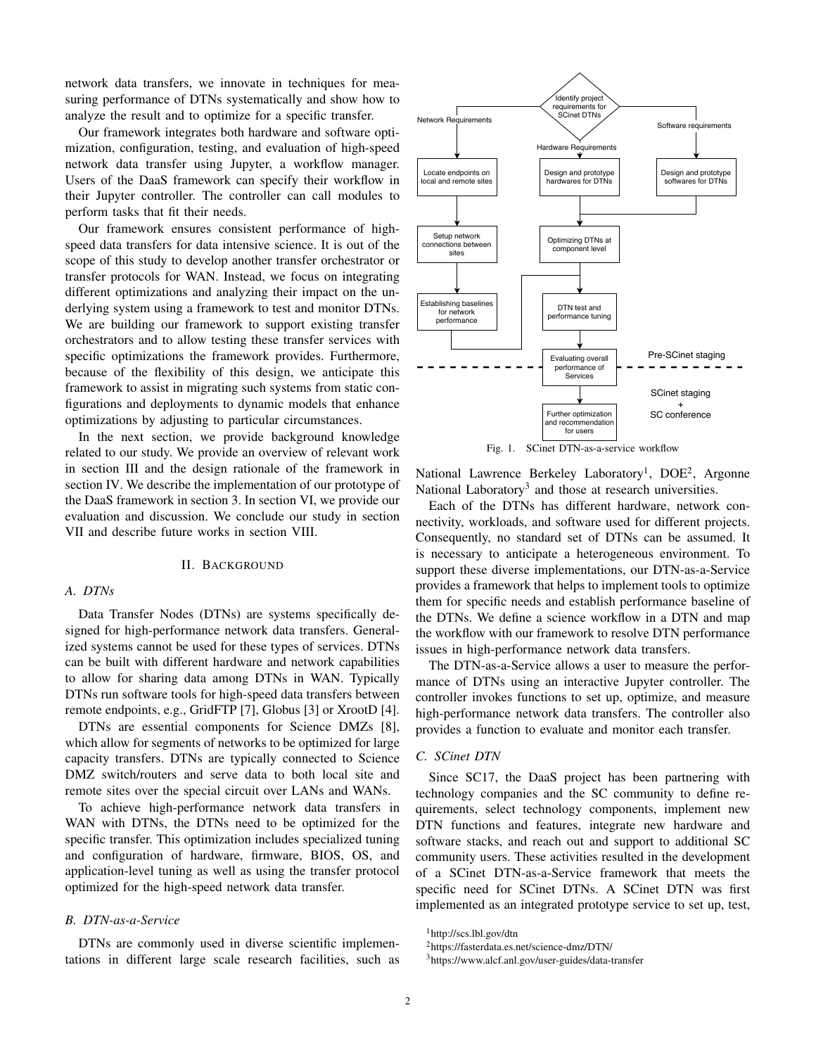network data transfers, we innovate in techniques for measuring performance of DTNs systematically and show how to analyze the result and to optimize for a specific transfer.

Our framework integrates both hardware and software optimization, configuration, testing, and evaluation of high-speed network data transfer using Jupyter, a workflow manager. Users of the DaaS framework can specify their workflow in their Jupyter controller. The controller can call modules to perform tasks that fit their needs.

Our framework ensures consistent performance of highspeed data transfers for data intensive science. It is out of the scope of this study to develop another transfer orchestrator or transfer protocols for WAN. Instead, we focus on integrating different optimizations and analyzing their impact on the underlying system using a framework to test and monitor DTNs. We are building our framework to support existing transfer orchestrators and to allow testing these transfer services with specific optimizations the framework provides. Furthermore, because of the flexibility of this design, we anticipate this framework to assist in migrating such systems from static configurations and deployments to dynamic models that enhance optimizations by adjusting to particular circumstances.

In the next section, we provide background knowledge related to our study. We provide an overview of relevant work in section III and the design rationale of the framework in section IV. We describe the implementation of our prototype of the DaaS framework in section 3. In section VI, we provide our evaluation and discussion. We conclude our study in section VII and describe future works in section VIII.

#### II. BACKGROUND

## *A. DTNs*

Data Transfer Nodes (DTNs) are systems specifically designed for high-performance network data transfers. Generalized systems cannot be used for these types of services. DTNs can be built with different hardware and network capabilities to allow for sharing data among DTNs in WAN. Typically DTNs run software tools for high-speed data transfers between remote endpoints, e.g., GridFTP [7], Globus [3] or XrootD [4].

DTNs are essential components for Science DMZs [8], which allow for segments of networks to be optimized for large capacity transfers. DTNs are typically connected to Science DMZ switch/routers and serve data to both local site and remote sites over the special circuit over LANs and WANs.

To achieve high-performance network data transfers in WAN with DTNs, the DTNs need to be optimized for the specific transfer. This optimization includes specialized tuning and configuration of hardware, firmware, BIOS, OS, and application-level tuning as well as using the transfer protocol optimized for the high-speed network data transfer.

#### *B. DTN-as-a-Service*

DTNs are commonly used in diverse scientific implementations in different large scale research facilities, such as



Fig. 1. SCinet DTN-as-a-service workflow

National Lawrence Berkeley Laboratory<sup>1</sup>, DOE<sup>2</sup>, Argonne National Laboratory<sup>3</sup> and those at research universities.

Each of the DTNs has different hardware, network connectivity, workloads, and software used for different projects. Consequently, no standard set of DTNs can be assumed. It is necessary to anticipate a heterogeneous environment. To support these diverse implementations, our DTN-as-a-Service provides a framework that helps to implement tools to optimize them for specific needs and establish performance baseline of the DTNs. We define a science workflow in a DTN and map the workflow with our framework to resolve DTN performance issues in high-performance network data transfers.

The DTN-as-a-Service allows a user to measure the performance of DTNs using an interactive Jupyter controller. The controller invokes functions to set up, optimize, and measure high-performance network data transfers. The controller also provides a function to evaluate and monitor each transfer.

# *C. SCinet DTN*

Since SC17, the DaaS project has been partnering with technology companies and the SC community to define requirements, select technology components, implement new DTN functions and features, integrate new hardware and software stacks, and reach out and support to additional SC community users. These activities resulted in the development of a SCinet DTN-as-a-Service framework that meets the specific need for SCinet DTNs. A SCinet DTN was first implemented as an integrated prototype service to set up, test,

<sup>1</sup>http://scs.lbl.gov/dtn

<sup>2</sup>https://fasterdata.es.net/science-dmz/DTN/

<sup>3</sup>https://www.alcf.anl.gov/user-guides/data-transfer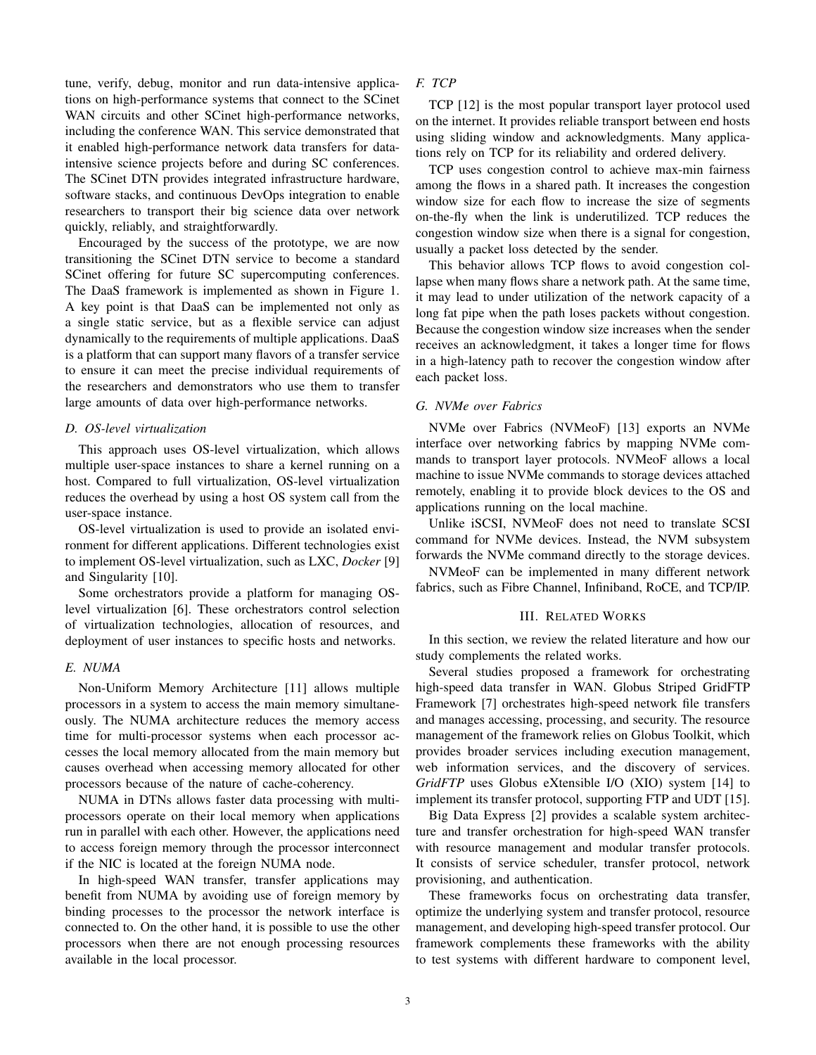tune, verify, debug, monitor and run data-intensive applications on high-performance systems that connect to the SCinet WAN circuits and other SCinet high-performance networks, including the conference WAN. This service demonstrated that it enabled high-performance network data transfers for dataintensive science projects before and during SC conferences. The SCinet DTN provides integrated infrastructure hardware, software stacks, and continuous DevOps integration to enable researchers to transport their big science data over network quickly, reliably, and straightforwardly.

Encouraged by the success of the prototype, we are now transitioning the SCinet DTN service to become a standard SCinet offering for future SC supercomputing conferences. The DaaS framework is implemented as shown in Figure 1. A key point is that DaaS can be implemented not only as a single static service, but as a flexible service can adjust dynamically to the requirements of multiple applications. DaaS is a platform that can support many flavors of a transfer service to ensure it can meet the precise individual requirements of the researchers and demonstrators who use them to transfer large amounts of data over high-performance networks.

#### *D. OS-level virtualization*

This approach uses OS-level virtualization, which allows multiple user-space instances to share a kernel running on a host. Compared to full virtualization, OS-level virtualization reduces the overhead by using a host OS system call from the user-space instance.

OS-level virtualization is used to provide an isolated environment for different applications. Different technologies exist to implement OS-level virtualization, such as LXC, *Docker* [9] and Singularity [10].

Some orchestrators provide a platform for managing OSlevel virtualization [6]. These orchestrators control selection of virtualization technologies, allocation of resources, and deployment of user instances to specific hosts and networks.

## *E. NUMA*

Non-Uniform Memory Architecture [11] allows multiple processors in a system to access the main memory simultaneously. The NUMA architecture reduces the memory access time for multi-processor systems when each processor accesses the local memory allocated from the main memory but causes overhead when accessing memory allocated for other processors because of the nature of cache-coherency.

NUMA in DTNs allows faster data processing with multiprocessors operate on their local memory when applications run in parallel with each other. However, the applications need to access foreign memory through the processor interconnect if the NIC is located at the foreign NUMA node.

In high-speed WAN transfer, transfer applications may benefit from NUMA by avoiding use of foreign memory by binding processes to the processor the network interface is connected to. On the other hand, it is possible to use the other processors when there are not enough processing resources available in the local processor.

# *F. TCP*

TCP [12] is the most popular transport layer protocol used on the internet. It provides reliable transport between end hosts using sliding window and acknowledgments. Many applications rely on TCP for its reliability and ordered delivery.

TCP uses congestion control to achieve max-min fairness among the flows in a shared path. It increases the congestion window size for each flow to increase the size of segments on-the-fly when the link is underutilized. TCP reduces the congestion window size when there is a signal for congestion, usually a packet loss detected by the sender.

This behavior allows TCP flows to avoid congestion collapse when many flows share a network path. At the same time, it may lead to under utilization of the network capacity of a long fat pipe when the path loses packets without congestion. Because the congestion window size increases when the sender receives an acknowledgment, it takes a longer time for flows in a high-latency path to recover the congestion window after each packet loss.

## *G. NVMe over Fabrics*

NVMe over Fabrics (NVMeoF) [13] exports an NVMe interface over networking fabrics by mapping NVMe commands to transport layer protocols. NVMeoF allows a local machine to issue NVMe commands to storage devices attached remotely, enabling it to provide block devices to the OS and applications running on the local machine.

Unlike iSCSI, NVMeoF does not need to translate SCSI command for NVMe devices. Instead, the NVM subsystem forwards the NVMe command directly to the storage devices.

NVMeoF can be implemented in many different network fabrics, such as Fibre Channel, Infiniband, RoCE, and TCP/IP.

## III. RELATED WORKS

In this section, we review the related literature and how our study complements the related works.

Several studies proposed a framework for orchestrating high-speed data transfer in WAN. Globus Striped GridFTP Framework [7] orchestrates high-speed network file transfers and manages accessing, processing, and security. The resource management of the framework relies on Globus Toolkit, which provides broader services including execution management, web information services, and the discovery of services. *GridFTP* uses Globus eXtensible I/O (XIO) system [14] to implement its transfer protocol, supporting FTP and UDT [15].

Big Data Express [2] provides a scalable system architecture and transfer orchestration for high-speed WAN transfer with resource management and modular transfer protocols. It consists of service scheduler, transfer protocol, network provisioning, and authentication.

These frameworks focus on orchestrating data transfer, optimize the underlying system and transfer protocol, resource management, and developing high-speed transfer protocol. Our framework complements these frameworks with the ability to test systems with different hardware to component level,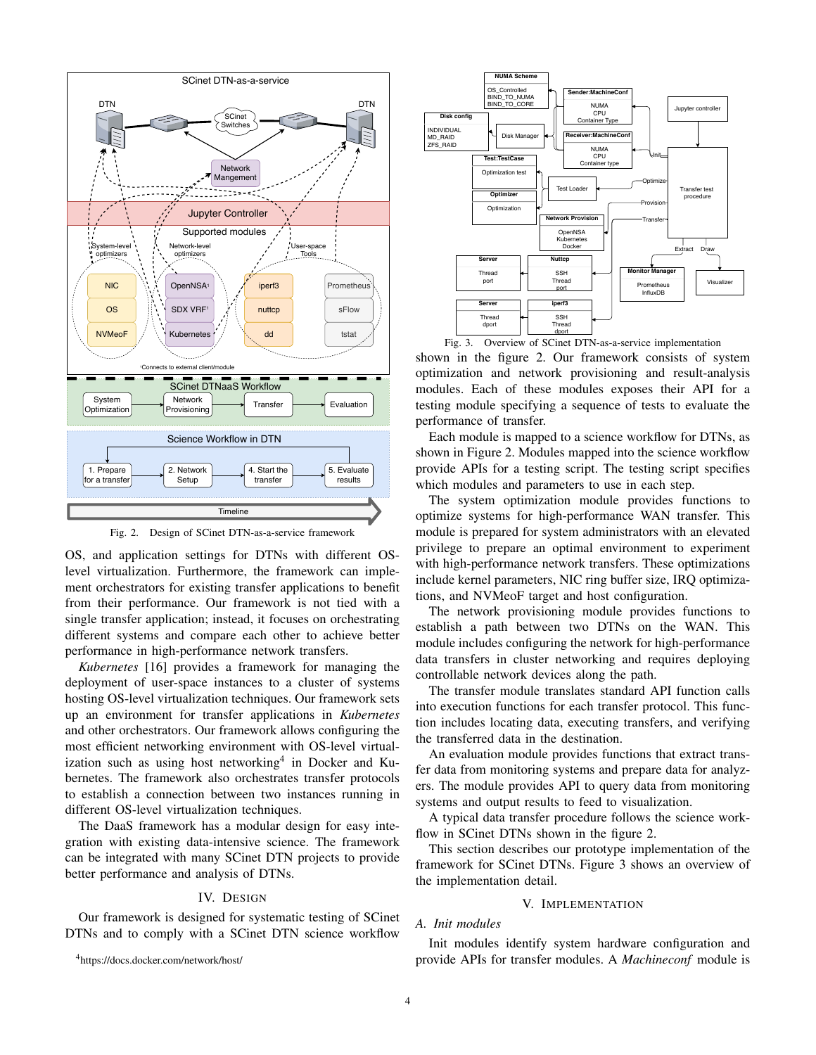

Fig. 2. Design of SCinet DTN-as-a-service framework

OS, and application settings for DTNs with different OSlevel virtualization. Furthermore, the framework can implement orchestrators for existing transfer applications to benefit from their performance. Our framework is not tied with a single transfer application; instead, it focuses on orchestrating different systems and compare each other to achieve better performance in high-performance network transfers.

*Kubernetes* [16] provides a framework for managing the deployment of user-space instances to a cluster of systems hosting OS-level virtualization techniques. Our framework sets up an environment for transfer applications in *Kubernetes* and other orchestrators. Our framework allows configuring the most efficient networking environment with OS-level virtualization such as using host networking<sup>4</sup> in Docker and Kubernetes. The framework also orchestrates transfer protocols to establish a connection between two instances running in different OS-level virtualization techniques.

The DaaS framework has a modular design for easy integration with existing data-intensive science. The framework can be integrated with many SCinet DTN projects to provide better performance and analysis of DTNs.

## IV. DESIGN

Our framework is designed for systematic testing of SCinet DTNs and to comply with a SCinet DTN science workflow



Fig. 3. Overview of SCinet DTN-as-a-service implementation shown in the figure 2. Our framework consists of system optimization and network provisioning and result-analysis modules. Each of these modules exposes their API for a testing module specifying a sequence of tests to evaluate the performance of transfer.

Each module is mapped to a science workflow for DTNs, as shown in Figure 2. Modules mapped into the science workflow provide APIs for a testing script. The testing script specifies which modules and parameters to use in each step.

The system optimization module provides functions to optimize systems for high-performance WAN transfer. This module is prepared for system administrators with an elevated privilege to prepare an optimal environment to experiment with high-performance network transfers. These optimizations include kernel parameters, NIC ring buffer size, IRQ optimizations, and NVMeoF target and host configuration.

The network provisioning module provides functions to establish a path between two DTNs on the WAN. This module includes configuring the network for high-performance data transfers in cluster networking and requires deploying controllable network devices along the path.

The transfer module translates standard API function calls into execution functions for each transfer protocol. This function includes locating data, executing transfers, and verifying the transferred data in the destination.

An evaluation module provides functions that extract transfer data from monitoring systems and prepare data for analyzers. The module provides API to query data from monitoring systems and output results to feed to visualization.

A typical data transfer procedure follows the science workflow in SCinet DTNs shown in the figure 2.

This section describes our prototype implementation of the framework for SCinet DTNs. Figure 3 shows an overview of the implementation detail.

## V. IMPLEMENTATION

## *A. Init modules*

Init modules identify system hardware configuration and provide APIs for transfer modules. A *Machineconf* module is

<sup>4</sup>https://docs.docker.com/network/host/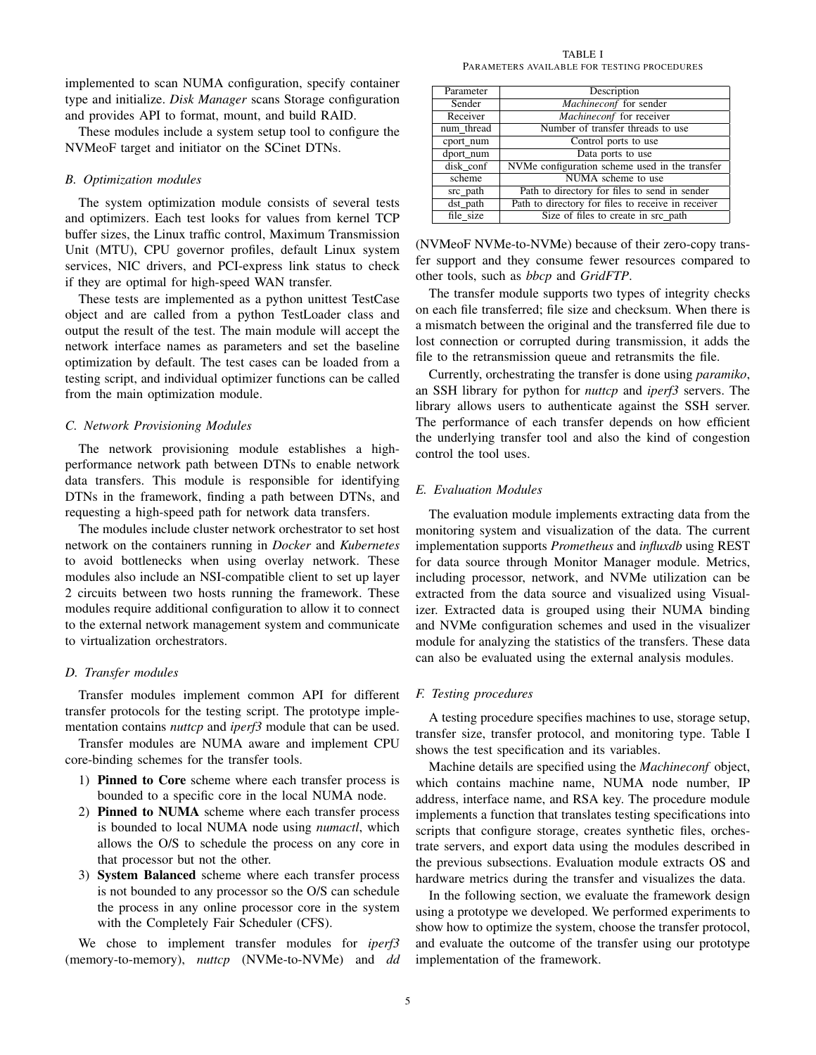implemented to scan NUMA configuration, specify container type and initialize. *Disk Manager* scans Storage configuration and provides API to format, mount, and build RAID.

These modules include a system setup tool to configure the NVMeoF target and initiator on the SCinet DTNs.

#### *B. Optimization modules*

The system optimization module consists of several tests and optimizers. Each test looks for values from kernel TCP buffer sizes, the Linux traffic control, Maximum Transmission Unit (MTU), CPU governor profiles, default Linux system services, NIC drivers, and PCI-express link status to check if they are optimal for high-speed WAN transfer.

These tests are implemented as a python unittest TestCase object and are called from a python TestLoader class and output the result of the test. The main module will accept the network interface names as parameters and set the baseline optimization by default. The test cases can be loaded from a testing script, and individual optimizer functions can be called from the main optimization module.

## *C. Network Provisioning Modules*

The network provisioning module establishes a highperformance network path between DTNs to enable network data transfers. This module is responsible for identifying DTNs in the framework, finding a path between DTNs, and requesting a high-speed path for network data transfers.

The modules include cluster network orchestrator to set host network on the containers running in *Docker* and *Kubernetes* to avoid bottlenecks when using overlay network. These modules also include an NSI-compatible client to set up layer 2 circuits between two hosts running the framework. These modules require additional configuration to allow it to connect to the external network management system and communicate to virtualization orchestrators.

## *D. Transfer modules*

Transfer modules implement common API for different transfer protocols for the testing script. The prototype implementation contains *nuttcp* and *iperf3* module that can be used.

Transfer modules are NUMA aware and implement CPU core-binding schemes for the transfer tools.

- 1) Pinned to Core scheme where each transfer process is bounded to a specific core in the local NUMA node.
- 2) Pinned to NUMA scheme where each transfer process is bounded to local NUMA node using *numactl*, which allows the O/S to schedule the process on any core in that processor but not the other.
- 3) System Balanced scheme where each transfer process is not bounded to any processor so the O/S can schedule the process in any online processor core in the system with the Completely Fair Scheduler (CFS).

We chose to implement transfer modules for *iperf3* (memory-to-memory), *nuttcp* (NVMe-to-NVMe) and *dd*

TABLE I PARAMETERS AVAILABLE FOR TESTING PROCEDURES

| Parameter  | Description                                        |  |
|------------|----------------------------------------------------|--|
|            |                                                    |  |
| Sender     | Machineconf for sender                             |  |
| Receiver   | Machineconf for receiver                           |  |
| num thread | Number of transfer threads to use                  |  |
| cport num  | Control ports to use                               |  |
| dport num  | Data ports to use                                  |  |
| disk conf  | NVMe configuration scheme used in the transfer     |  |
| scheme     | NUMA scheme to use                                 |  |
| src_path   | Path to directory for files to send in sender      |  |
| dst path   | Path to directory for files to receive in receiver |  |
| file size  | Size of files to create in src_path                |  |

(NVMeoF NVMe-to-NVMe) because of their zero-copy transfer support and they consume fewer resources compared to other tools, such as *bbcp* and *GridFTP*.

The transfer module supports two types of integrity checks on each file transferred; file size and checksum. When there is a mismatch between the original and the transferred file due to lost connection or corrupted during transmission, it adds the file to the retransmission queue and retransmits the file.

Currently, orchestrating the transfer is done using *paramiko*, an SSH library for python for *nuttcp* and *iperf3* servers. The library allows users to authenticate against the SSH server. The performance of each transfer depends on how efficient the underlying transfer tool and also the kind of congestion control the tool uses.

## *E. Evaluation Modules*

The evaluation module implements extracting data from the monitoring system and visualization of the data. The current implementation supports *Prometheus* and *influxdb* using REST for data source through Monitor Manager module. Metrics, including processor, network, and NVMe utilization can be extracted from the data source and visualized using Visualizer. Extracted data is grouped using their NUMA binding and NVMe configuration schemes and used in the visualizer module for analyzing the statistics of the transfers. These data can also be evaluated using the external analysis modules.

## *F. Testing procedures*

A testing procedure specifies machines to use, storage setup, transfer size, transfer protocol, and monitoring type. Table I shows the test specification and its variables.

Machine details are specified using the *Machineconf* object, which contains machine name, NUMA node number, IP address, interface name, and RSA key. The procedure module implements a function that translates testing specifications into scripts that configure storage, creates synthetic files, orchestrate servers, and export data using the modules described in the previous subsections. Evaluation module extracts OS and hardware metrics during the transfer and visualizes the data.

In the following section, we evaluate the framework design using a prototype we developed. We performed experiments to show how to optimize the system, choose the transfer protocol, and evaluate the outcome of the transfer using our prototype implementation of the framework.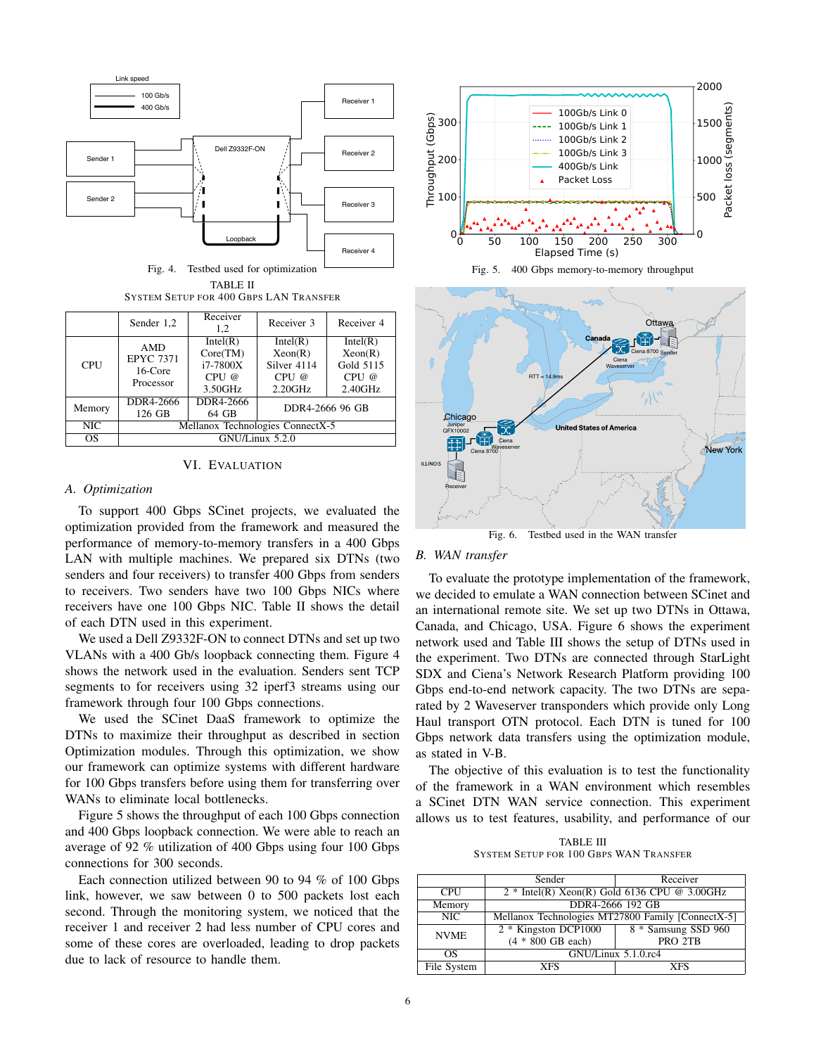

Fig. 4. Testbed used for optimization TABLE II SYSTEM SETUP FOR 400 GBPS LAN TRANSFER

|            | Sender 1,2                                             | Receiver<br>1.2 | Receiver 3      | Receiver 4 |
|------------|--------------------------------------------------------|-----------------|-----------------|------------|
| <b>CPU</b> | <b>AMD</b><br><b>EPYC 7371</b><br>16-Core<br>Processor | Intel(R)        | Intel(R)        | Intel(R)   |
|            |                                                        | Core(TM)        | Xeon(R)         | Xeon(R)    |
|            |                                                        | $i7-7800X$      | Silver 4114     | Gold 5115  |
|            |                                                        | $CPU \omega$    | CPU@            | CPU@       |
|            |                                                        | 3.50GHz         | 2.20GHz         | 2.40GHz    |
| Memory     | DDR4-2666                                              | DDR4-2666       | DDR4-2666 96 GB |            |
|            | 126 GB                                                 | 64 GB           |                 |            |
| NIC        | Mellanox Technologies ConnectX-5                       |                 |                 |            |
| <b>OS</b>  | GNU/Linux 5.2.0                                        |                 |                 |            |

## VI. EVALUATION

## *A. Optimization*

To support 400 Gbps SCinet projects, we evaluated the optimization provided from the framework and measured the performance of memory-to-memory transfers in a 400 Gbps LAN with multiple machines. We prepared six DTNs (two senders and four receivers) to transfer 400 Gbps from senders to receivers. Two senders have two 100 Gbps NICs where receivers have one 100 Gbps NIC. Table II shows the detail of each DTN used in this experiment.

We used a Dell Z9332F-ON to connect DTNs and set up two VLANs with a 400 Gb/s loopback connecting them. Figure 4 shows the network used in the evaluation. Senders sent TCP segments to for receivers using 32 iperf3 streams using our framework through four 100 Gbps connections.

We used the SCinet DaaS framework to optimize the DTNs to maximize their throughput as described in section Optimization modules. Through this optimization, we show our framework can optimize systems with different hardware for 100 Gbps transfers before using them for transferring over WANs to eliminate local bottlenecks.

Figure 5 shows the throughput of each 100 Gbps connection and 400 Gbps loopback connection. We were able to reach an average of 92 % utilization of 400 Gbps using four 100 Gbps connections for 300 seconds.

Each connection utilized between 90 to 94 % of 100 Gbps link, however, we saw between 0 to 500 packets lost each second. Through the monitoring system, we noticed that the receiver 1 and receiver 2 had less number of CPU cores and some of these cores are overloaded, leading to drop packets







## *B. WAN transfer*

To evaluate the prototype implementation of the framework, we decided to emulate a WAN connection between SCinet and an international remote site. We set up two DTNs in Ottawa, Canada, and Chicago, USA. Figure 6 shows the experiment network used and Table III shows the setup of DTNs used in the experiment. Two DTNs are connected through StarLight SDX and Ciena's Network Research Platform providing 100 Gbps end-to-end network capacity. The two DTNs are separated by 2 Waveserver transponders which provide only Long Haul transport OTN protocol. Each DTN is tuned for 100 Gbps network data transfers using the optimization module, as stated in V-B.

The objective of this evaluation is to test the functionality of the framework in a WAN environment which resembles a SCinet DTN WAN service connection. This experiment allows us to test features, usability, and performance of our

TABLE III SYSTEM SETUP FOR 100 GBPS WAN TRANSFER

|             | Sender                                            | Receiver            |  |  |
|-------------|---------------------------------------------------|---------------------|--|--|
| <b>CPU</b>  | $2 * Intel(R) Xeon(R) Gold 6136 CPU @ 3.00GHz$    |                     |  |  |
| Memory      | DDR4-2666 192 GB                                  |                     |  |  |
| NIC         | Mellanox Technologies MT27800 Family [ConnectX-5] |                     |  |  |
| <b>NVME</b> | 2 * Kingston DCP1000                              | 8 * Samsung SSD 960 |  |  |
|             | $(4 * 800$ GB each)                               | PRO 2TB             |  |  |
| ΩS          | GNU/Linux 5.1.0.rc4                               |                     |  |  |
| File System | <b>XFS</b>                                        | <b>XFS</b>          |  |  |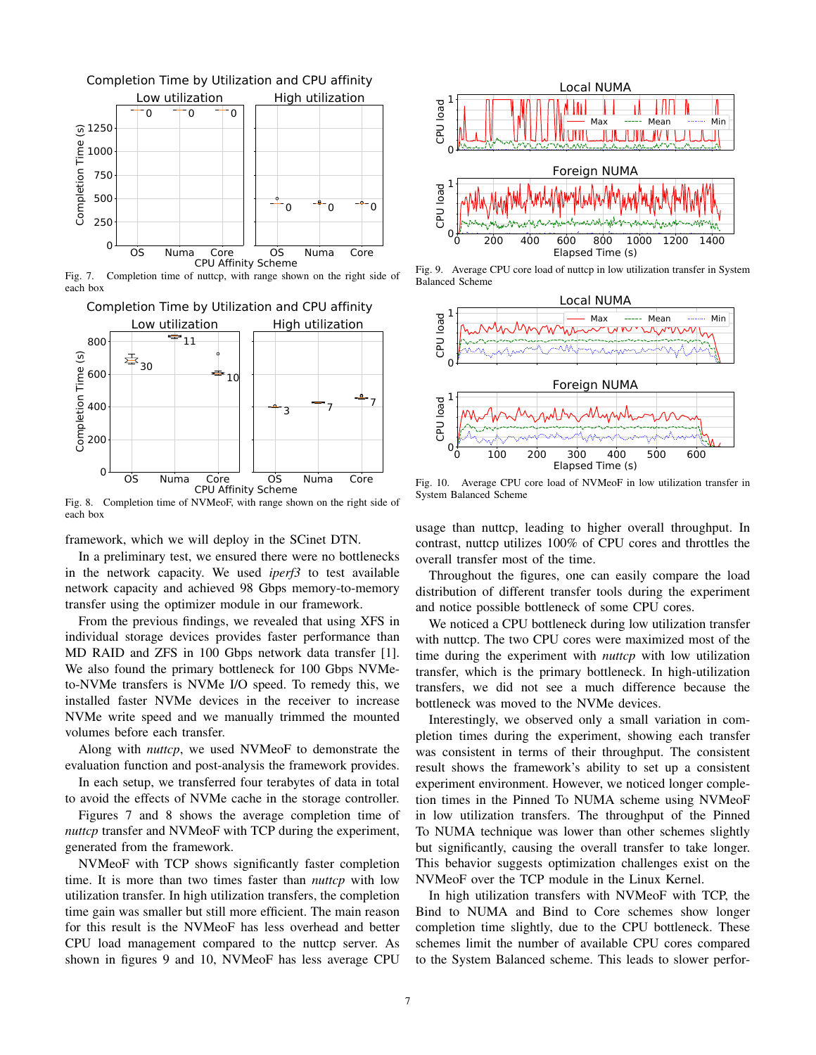

Fig. 7. Completion time of nuttcp, with range shown on the right side of each box



Fig. 8. Completion time of NVMeoF, with range shown on the right side of each box

framework, which we will deploy in the SCinet DTN.

In a preliminary test, we ensured there were no bottlenecks in the network capacity. We used *iperf3* to test available network capacity and achieved 98 Gbps memory-to-memory transfer using the optimizer module in our framework.

From the previous findings, we revealed that using XFS in individual storage devices provides faster performance than MD RAID and ZFS in 100 Gbps network data transfer [1]. We also found the primary bottleneck for 100 Gbps NVMeto-NVMe transfers is NVMe I/O speed. To remedy this, we installed faster NVMe devices in the receiver to increase NVMe write speed and we manually trimmed the mounted volumes before each transfer.

Along with *nuttcp*, we used NVMeoF to demonstrate the evaluation function and post-analysis the framework provides.

In each setup, we transferred four terabytes of data in total to avoid the effects of NVMe cache in the storage controller.

Figures 7 and 8 shows the average completion time of *nuttcp* transfer and NVMeoF with TCP during the experiment, generated from the framework.

NVMeoF with TCP shows significantly faster completion time. It is more than two times faster than *nuttcp* with low utilization transfer. In high utilization transfers, the completion time gain was smaller but still more efficient. The main reason for this result is the NVMeoF has less overhead and better CPU load management compared to the nuttcp server. As shown in figures 9 and 10, NVMeoF has less average CPU



Fig. 9. Average CPU core load of nuttep in low utilization transfer in System Balanced Scheme



Fig. 10. Average CPU core load of NVMeoF in low utilization transfer in System Balanced Scheme

usage than nuttcp, leading to higher overall throughput. In contrast, nuttcp utilizes 100% of CPU cores and throttles the overall transfer most of the time.

Throughout the figures, one can easily compare the load distribution of different transfer tools during the experiment and notice possible bottleneck of some CPU cores.

We noticed a CPU bottleneck during low utilization transfer with nuttcp. The two CPU cores were maximized most of the time during the experiment with *nuttcp* with low utilization transfer, which is the primary bottleneck. In high-utilization transfers, we did not see a much difference because the bottleneck was moved to the NVMe devices.

Interestingly, we observed only a small variation in completion times during the experiment, showing each transfer was consistent in terms of their throughput. The consistent result shows the framework's ability to set up a consistent experiment environment. However, we noticed longer completion times in the Pinned To NUMA scheme using NVMeoF in low utilization transfers. The throughput of the Pinned To NUMA technique was lower than other schemes slightly but significantly, causing the overall transfer to take longer. This behavior suggests optimization challenges exist on the NVMeoF over the TCP module in the Linux Kernel.

In high utilization transfers with NVMeoF with TCP, the Bind to NUMA and Bind to Core schemes show longer completion time slightly, due to the CPU bottleneck. These schemes limit the number of available CPU cores compared to the System Balanced scheme. This leads to slower perfor